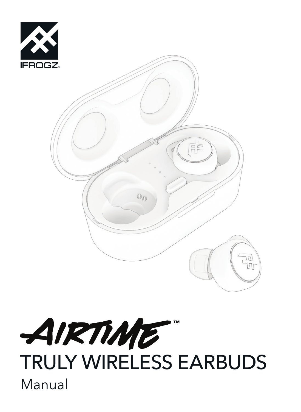

# AIRTIME TRULY WIRELESS EARBUDS Manual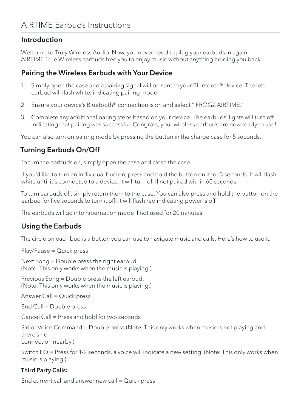### Introduction

Welcome to Truly Wireless Audio. Now, you never need to plug your earbuds in again. AIRTIME True Wireless earbuds free you to enjoy music without anything holding you back.

## Pairing the Wireless Earbuds with Your Device

- 1. Simply open the case and a pairing signal will be sent to your Bluetooth® device. The left earbud will flash white, indicating pairing mode.
- 2. Ensure your device's Bluetooth® connection is on and select "IFROGZ AIRTIME."
- 3. Complete any additional paring steps based on your device. The earbuds' lights will turn off indicating that pairing was successful. Congrats, your wireless earbuds are now ready to use!

You can also turn on pairing mode by pressing the button in the charge case for 5 seconds.

# Turning Earbuds On/Off

To turn the earbuds on, simply open the case and close the case.

If you'd like to turn an individual bud on, press and hold the button on it for 3 seconds. It will flash white until it's connected to a device. It will turn off if not paired within 60 seconds.

To turn earbuds off, simply return them to the case. You can also press and hold the button on the earbud for five seconds to turn it off; it will flash red indicating power is off.

The earbuds will go into hibernation mode if not used for 20 minutes.

## Using the Earbuds

The circle on each bud is a button you can use to navigate music and calls. Here's how to use it.

Play/Pause = Quick press

Next Song = Double press the right earbud. (Note: This only works when the music is playing.)

Previous Song = Double press the left earbud. (Note: This only works when the music is playing.)

Answer Call = Quick press

End Call = Double press

Cancel Call = Press and hold for two seconds

Siri or Voice Command = Double press (Note: This only works when music is not playing and there's no connection nearby.)

Switch EQ = Press for 1-2 seconds, a voice will indicate a new setting. (Note: This only works when music is playing.)

#### Third Party Calls:

End current call and answer new call = Quick press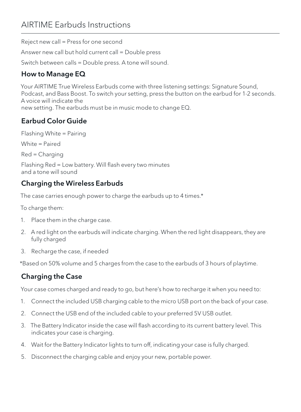Reject new call = Press for one second

Answer new call but hold current call = Double press

Switch between calls = Double press. A tone will sound.

# How to Manage EQ

Your AIRTIME True Wireless Earbuds come with three listening settings: Signature Sound, Podcast, and Bass Boost. To switch your setting, press the button on the earbud for 1-2 seconds. A voice will indicate the new setting. The earbuds must be in music mode to change EQ.

# Earbud Color Guide

Flashing White = Pairing White = Paired Red = Charging

Flashing Red = Low battery. Will flash every two minutes and a tone will sound

# Charging the Wireless Earbuds

The case carries enough power to charge the earbuds up to 4 times.\*

To charge them:

- 1. Place them in the charge case.
- 2. A red light on the earbuds will indicate charging. When the red light disappears, they are fully charged
- 3. Recharge the case, if needed

\*Based on 50% volume and 5 charges from the case to the earbuds of 3 hours of playtime.

# Charging the Case

Your case comes charged and ready to go, but here's how to recharge it when you need to:

- 1. Connect the included USB charging cable to the micro USB port on the back of your case.
- 2. Connect the USB end of the included cable to your preferred 5V USB outlet.
- 3. The Battery Indicator inside the case will flash according to its current battery level. This indicates your case is charging.
- 4. Wait for the Battery Indicator lights to turn off, indicating your case is fully charged.
- 5. Disconnect the charging cable and enjoy your new, portable power.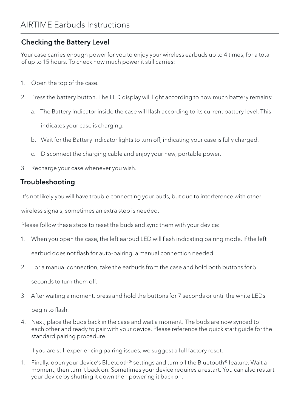# Checking the Battery Level

Your case carries enough power for you to enjoy your wireless earbuds up to 4 times, for a total of up to 15 hours. To check how much power it still carries:

- 1. Open the top of the case.
- 2. Press the battery button. The LED display will light according to how much battery remains:
	- a. The Battery Indicator inside the case will flash according to its current battery level. This indicates your case is charging.
	- b. Wait for the Battery Indicator lights to turn off, indicating your case is fully charged.
	- c. Disconnect the charging cable and enjoy your new, portable power.
- 3. Recharge your case whenever you wish.

## Troubleshooting

It's not likely you will have trouble connecting your buds, but due to interference with other

wireless signals, sometimes an extra step is needed.

Please follow these steps to reset the buds and sync them with your device:

- 1. When you open the case, the left earbud LED will flash indicating pairing mode. If the left earbud does not flash for auto-pairing, a manual connection needed.
- 2. For a manual connection, take the earbuds from the case and hold both buttons for 5 seconds to turn them off.
- 3. After waiting a moment, press and hold the buttons for 7 seconds or until the white LEDs begin to flash.
- 4. Next, place the buds back in the case and wait a moment. The buds are now synced to each other and ready to pair with your device. Please reference the quick start guide for the standard pairing procedure.

If you are still experiencing pairing issues, we suggest a full factory reset.

1. Finally, open your device's Bluetooth® settings and turn off the Bluetooth® feature. Wait a moment, then turn it back on. Sometimes your device requires a restart. You can also restart your device by shutting it down then powering it back on.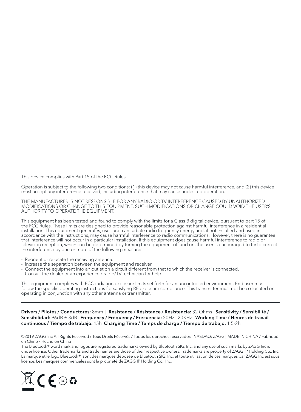This device complies with Part 15 of the FCC Rules.

Operation is subject to the following two conditions: (1) this device may not cause harmful interference, and (2) this device must accept any interference received, including interference that may cause undesired operation.

THE MANUFACTURER IS NOT RESPONSIBLE FOR ANY RADIO OR TV INTERFERENCE CAUSED BY UNAUTHORIZED MODIFICATIONS OR CHANGE TO THIS EQUIPMENT. SUCH MODIFICATIONS OR CHANGE COULD VOID THE USER'S AUTHORITY TO OPERATE THE EQUIPMENT.

This equipment has been tested and found to comply with the limits for a Class B digital device, pursuant to part 15 of the FCC Rules. These limits are designed to provide reasonable protection against harmful interference in a residential installation. This equipment generates, uses and can radiate radio frequency energy and, if not installed and used in accordance with the instructions, may cause harmful interference to radio communications. However, there is no guarantee that interference will not occur in a particular installation. If this equipment does cause harmful interference to radio or television reception, which can be determined by turning the equipment off and on, the user is encouraged to try to correct the interference by one or more of the following measures:

- Reorient or relocate the receiving antenna.
- Increase the separation between the equipment and receiver.
- Connect the equipment into an outlet on a circuit different from that to which the receiver is connected.
- Consult the dealer or an experienced radio/TV technician for help.

This equipment complies with FCC radiation exposure limits set forth for an uncontrolled environment. End user must follow the specific operating instructions for satisfying RF exposure compliance. This transmitter must not be co-located or operating in conjunction with any other antenna or transmitter.

Drivers / Pilotes / Conductores: 8mm | Resistance / Résistance / Resistencia: 32 Ohms Sensitivity / Sensibilité / Sensibilidad: 96dB ± 3dB Frequency / Fréquency / Frecuencia: 20Hz - 20KHz Working Time / Heures de travail continuous / Tiempo de trabajo: 15h Charging Time / Temps de charge / Tiempo de trabajo: 1.5-2h

©2019 ZAGG Inc All Rights Reserved / Tous Droits Réservés / Todos los derechos reservados | NASDAQ: ZAGG | MADE IN CHINA / Fabriqué en Chine / Hecho en China

The Bluetooth® word mark and logos are registered trademarks owned by Bluetooth SIG, Inc. and any use of such marks by ZAGG Inc is under license. Other trademarks and trade names are those of their respective owners. Trademarks are property of ZAGG IP Holding Co., Inc. La marque et le logo Bluetooth® sont des marques déposée de Bluetooth SIG, Inc. et toute utilisation de ces marques par ZAGG Inc est sous licence. Les marques commerciales sont la propriété de ZAGG IP Holding Co., Inc.

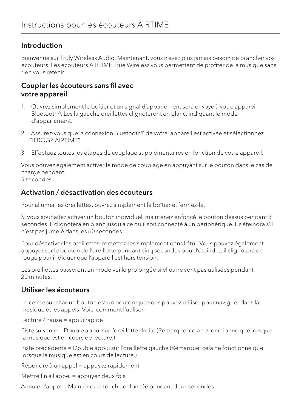### Introduction

Bienvenue sur Truly Wireless Audio. Maintenant, vous n'avez plus jamais besoin de brancher vos écouteurs. Les écouteurs AIRTIME True Wireless vous permettent de profiter de la musique sans rien vous retenir.

## Coupler les écouteurs sans fil avec votre appareil

- 1. Ouvrez simplement le boîtier et un signal d'appariement sera envoyé à votre appareil Bluetooth®. Les la gauche oreillettes clignoteront en blanc, indiquant le mode d'appariement.
- 2. Assurez-vous que la connexion Bluetooth® de votre appareil est activée et sélectionnez "IFROGZ AIRTIME".
- 3. Effectuez toutes les étapes de couplage supplémentaires en fonction de votre appareil.

Vous pouvez également activer le mode de couplage en appuyant sur le bouton dans le cas de charge pendant 5 secondes.

### Activation / désactivation des écouteurs

Pour allumer les oreillettes, ouvrez simplement le boîtier et fermez-le.

Si vous souhaitez activer un bouton individuel, maintenez enfoncé le bouton dessus pendant 3 secondes. Il clignotera en blanc jusqu'à ce qu'il soit connecté à un périphérique. Il s'éteindra s'il n'est pas jumelé dans les 60 secondes.

Pour désactiver les oreillettes, remettez-les simplement dans l'étui. Vous pouvez également appuyer sur le bouton de l'oreillette pendant cinq secondes pour l'éteindre; il clignotera en rouge pour indiquer que l'appareil est hors tension.

Les oreillettes passeront en mode veille prolongée si elles ne sont pas utilisées pendant 20 minutes.

## Utiliser les écouteurs

Le cercle sur chaque bouton est un bouton que vous pouvez utiliser pour naviguer dans la musique et les appels. Voici comment l'utiliser.

Lecture / Pause = appui rapide

Piste suivante = Double appui sur l'oreillette droite (Remarque: cela ne fonctionne que lorsque la musique est en cours de lecture.)

Piste précédente = Double appui sur l'oreillette gauche (Remarque: cela ne fonctionne que lorsque la musique est en cours de lecture.)

Répondre à un appel = appuyez rapidement

Mettre fin à l'appel = appuyez deux fois

Annuler l'appel = Maintenez la touche enfoncée pendant deux secondes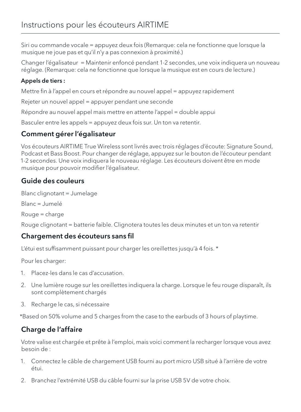Siri ou commande vocale = appuyez deux fois (Remarque: cela ne fonctionne que lorsque la musique ne joue pas et qu'il n'y a pas connexion à proximité.)

Changer l'égalisateur = Maintenir enfoncé pendant 1-2 secondes, une voix indiquera un nouveau réglage. (Remarque: cela ne fonctionne que lorsque la musique est en cours de lecture.)

#### Appels de tiers :

Mettre fin à l'appel en cours et répondre au nouvel appel = appuyez rapidement

Rejeter un nouvel appel = appuyer pendant une seconde

Répondre au nouvel appel mais mettre en attente l'appel = double appui

Basculer entre les appels = appuyez deux fois sur. Un ton va retentir.

## Comment gérer l'égalisateur

Vos écouteurs AIRTIME True Wireless sont livrés avec trois réglages d'écoute: Signature Sound, Podcast et Bass Boost. Pour changer de réglage, appuyez sur le bouton de l'écouteur pendant 1-2 secondes. Une voix indiquera le nouveau réglage. Les écouteurs doivent être en mode musique pour pouvoir modifier l'égalisateur.

# Guide des couleurs

Blanc clignotant = Jumelage Blanc = Jumelé Rouge = charge Rouge clignotant = batterie faible. Clignotera toutes les deux minutes et un ton va retentir

## Chargement des écouteurs sans fil

L'étui est suffisamment puissant pour charger les oreillettes jusqu'à 4 fois. \*

Pour les charger:

- 1. Placez-les dans le cas d'accusation.
- 2. Une lumière rouge sur les oreillettes indiquera la charge. Lorsque le feu rouge disparaît, ils sont complètement chargés
- 3. Recharge le cas, si nécessaire

\*Based on 50% volume and 5 charges from the case to the earbuds of 3 hours of playtime.

# Charge de l'affaire

Votre valise est chargée et prête à l'emploi, mais voici comment la recharger lorsque vous avez besoin de :

- 1. Connectez le câble de chargement USB fourni au port micro USB situé à l'arrière de votre étui.
- 2. Branchez l'extrémité USB du câble fourni sur la prise USB 5V de votre choix.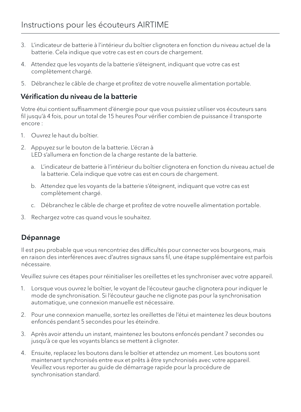- 3. L'indicateur de batterie à l'intérieur du boîtier clignotera en fonction du niveau actuel de la batterie. Cela indique que votre cas est en cours de chargement.
- 4. Attendez que les voyants de la batterie s'éteignent, indiquant que votre cas est complètement chargé.
- 5. Débranchez le câble de charge et profitez de votre nouvelle alimentation portable.

## Vérification du niveau de la batterie

Votre étui contient suffisamment d'énergie pour que vous puissiez utiliser vos écouteurs sans fil jusqu'à 4 fois, pour un total de 15 heures Pour vérifier combien de puissance il transporte encore :

- 1. Ouvrez le haut du boîtier.
- 2. Appuyez sur le bouton de la batterie. L'écran à LED s'allumera en fonction de la charge restante de la batterie.
	- a. L'indicateur de batterie à l'intérieur du boîtier clignotera en fonction du niveau actuel de la batterie. Cela indique que votre cas est en cours de chargement.
	- b. Attendez que les voyants de la batterie s'éteignent, indiquant que votre cas est complètement chargé.
	- c. Débranchez le câble de charge et profitez de votre nouvelle alimentation portable.
- 3. Rechargez votre cas quand vous le souhaitez.

## Dépannage

Il est peu probable que vous rencontriez des difficultés pour connecter vos bourgeons, mais en raison des interférences avec d'autres signaux sans fil, une étape supplémentaire est parfois nécessaire.

Veuillez suivre ces étapes pour réinitialiser les oreillettes et les synchroniser avec votre appareil.

- 1. Lorsque vous ouvrez le boîtier, le voyant de l'écouteur gauche clignotera pour indiquer le mode de synchronisation. Si l'écouteur gauche ne clignote pas pour la synchronisation automatique, une connexion manuelle est nécessaire.
- 2. Pour une connexion manuelle, sortez les oreillettes de l'étui et maintenez les deux boutons enfoncés pendant 5 secondes pour les éteindre.
- 3. Après avoir attendu un instant, maintenez les boutons enfoncés pendant 7 secondes ou jusqu'à ce que les voyants blancs se mettent à clignoter.
- 4. Ensuite, replacez les boutons dans le boîtier et attendez un moment. Les boutons sont maintenant synchronisés entre eux et prêts à être synchronisés avec votre appareil. Veuillez vous reporter au guide de démarrage rapide pour la procédure de synchronisation standard.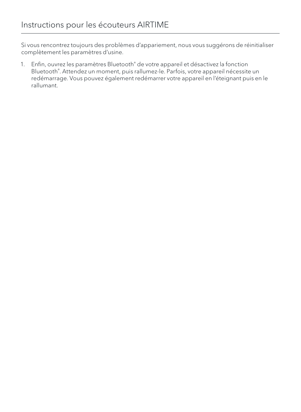Si vous rencontrez toujours des problèmes d'appariement, nous vous suggérons de réinitialiser complètement les paramètres d'usine.

1. Enfin, ouvrez les paramètres Bluetooth<sup>®</sup> de votre appareil et désactivez la fonction Bluetooth® . Attendez un moment, puis rallumez-le. Parfois, votre appareil nécessite un redémarrage. Vous pouvez également redémarrer votre appareil en l'éteignant puis en le rallumant.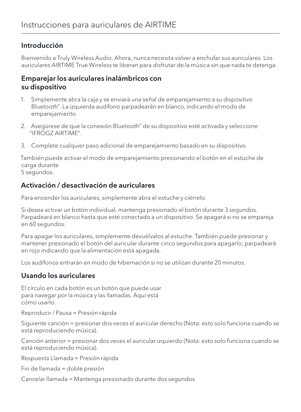## Introducción

Bienvenido a Truly Wireless Audio. Ahora, nunca necesita volver a enchufar sus auriculares. Los auriculares AIRTIME True Wireless te liberan para disfrutar de la música sin que nada te detenga.

## Emparejar los auriculares inalámbricos con su dispositivo

- 1. Simplemente abra la caja y se enviará una señal de emparejamiento a su dispositivo Bluetooth® . La izquierda audífono parpadearán en blanco, indicando el modo de emparejamiento.
- 2. Asegúrese de que la conexión Bluetooth® de su dispositivo esté activada y seleccione "IFROGZ AIRTIME".
- 3. Complete cualquier paso adicional de emparejamiento basado en su dispositivo.

También puede activar el modo de emparejamiento presionando el botón en el estuche de carga durante 5 segundos.

## Activación / desactivación de auriculares

Para encender los auriculares, simplemente abra el estuche y ciérrelo.

Si desea activar un botón individual, mantenga presionado el botón durante 3 segundos. Parpadeará en blanco hasta que esté conectado a un dispositivo. Se apagará si no se empareja en 60 segundos.

Para apagar los auriculares, simplemente devuélvalos al estuche. También puede presionar y mantener presionado el botón del auricular durante cinco segundos para apagarlo; parpadeará en rojo indicando que la alimentación está apagada.

Los audífonos entrarán en modo de hibernación si no se utilizan durante 20 minutos.

## Usando los auriculares

El círculo en cada botón es un botón que puede usar para navegar por la música y las llamadas. Aquí está cómo usarlo.

Reproducir / Pausa = Presión rápida

Siguiente canción = presionar dos veces el auricular derecho (Nota: esto solo funciona cuando se está reproduciendo música).

Canción anterior = presionar dos veces el auricular izquierdo (Nota: esto solo funciona cuando se está reproduciendo música).

Respuesta Llamada = Presión rápida

```
Fin de llamada = doble presión
```
Cancelar llamada = Mantenga presionado durante dos segundos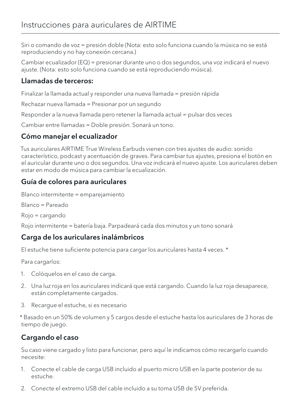Siri o comando de voz = presión doble (Nota: esto solo funciona cuando la música no se está reproduciendo y no hay conexión cercana.)

Cambiar ecualizador (EQ) = presionar durante uno o dos segundos, una voz indicará el nuevo ajuste. (Nota: esto solo funciona cuando se está reproduciendo música).

## Llamadas de terceros:

Finalizar la llamada actual y responder una nueva llamada = presión rápida

Rechazar nueva llamada = Presionar por un segundo

Responder a la nueva llamada pero retener la llamada actual = pulsar dos veces

Cambiar entre llamadas = Doble presión. Sonará un tono.

## Cómo manejar el ecualizador

Tus auriculares AIRTIME True Wireless Earbuds vienen con tres ajustes de audio: sonido característico, podcast y acentuación de graves. Para cambiar tus ajustes, presiona el botón en el auricular durante uno o dos segundos. Una voz indicará el nuevo ajuste. Los auriculares deben estar en modo de música para cambiar la ecualización.

## Guía de colores para auriculares

Blanco intermitente = emparejamiento Blanco = Pareado Rojo = cargando

Rojo intermitente = batería baja. Parpadeará cada dos minutos y un tono sonará

## Carga de los auriculares inalámbricos

El estuche tiene suficiente potencia para cargar los auriculares hasta 4 veces. \*

Para cargarlos:

- 1. Colóquelos en el caso de carga.
- 2. Una luz roja en los auriculares indicará que está cargando. Cuando la luz roja desaparece, están completamente cargados.
- 3. Recargue el estuche, si es necesario

\* Basado en un 50% de volumen y 5 cargos desde el estuche hasta los auriculares de 3 horas de tiempo de juego.

## Cargando el caso

Su caso viene cargado y listo para funcionar, pero aquí le indicamos cómo recargarlo cuando necesite:

- 1. Conecte el cable de carga USB incluido al puerto micro USB en la parte posterior de su estuche.
- 2. Conecte el extremo USB del cable incluido a su toma USB de 5V preferida.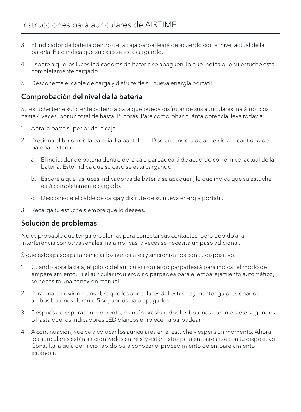- 3. El indicador de batería dentro de la caja parpadeará de acuerdo con el nivel actual de la batería. Esto indica que su caso se está cargando.
- 4. Espere a que las luces indicadoras de batería se apaguen, lo que indica que su estuche está completamente cargado.
- 5. Desconecte el cable de carga y disfrute de su nueva energía portátil.

## Comprobación del nivel de la batería

Su estuche tiene suficiente potencia para que pueda disfrutar de sus auriculares inalámbricos hasta 4 veces, por un total de hasta 15 horas. Para comprobar cuánta potencia lleva todavía:

- 1. Abra la parte superior de la caja.
- 2. Presiona el botón de la batería. La pantalla LED se encenderá de acuerdo a la cantidad de batería restante.
	- a. El indicador de batería dentro de la caja parpadeará de acuerdo con el nivel actual de la batería. Esto indica que su caso se está cargando.
	- b. Espere a que las luces indicadoras de batería se apaguen, lo que indica que su estuche está completamente cargado.
	- c. Desconecte el cable de carga y disfrute de su nueva energía portátil.
- 3. Recarga tu estuche siempre que lo desees.

## Solución de problemas

No es probable que tenga problemas para conectar sus contactos, pero debido a la interferencia con otras señales inalámbricas, a veces se necesita un paso adicional.

Sigue estos pasos para reiniciar los auriculares y sincronizarlos con tu dispositivo.

- 1. Cuando abra la caja, el piloto del auricular izquierdo parpadeará para indicar el modo de emparejamiento. Si el auricular izquierdo no parpadea para el emparejamiento automático, se necesita una conexión manual.
- 2. Para una conexión manual, saque los auriculares del estuche y mantenga presionados ambos botones durante 5 segundos para apagarlos.
- 3. Después de esperar un momento, mantén presionados los botones durante siete segundos o hasta que los indicadores LED blancos empiecen a parpadear.
- 4. A continuación, vuelve a colocar los auriculares en el estuche y espera un momento. Ahora los auriculares están sincronizados entre sí y están listos para emparejarse con tu dispositivo. Consulta la guía de inicio rápido para conocer el procedimiento de emparejamiento estándar.